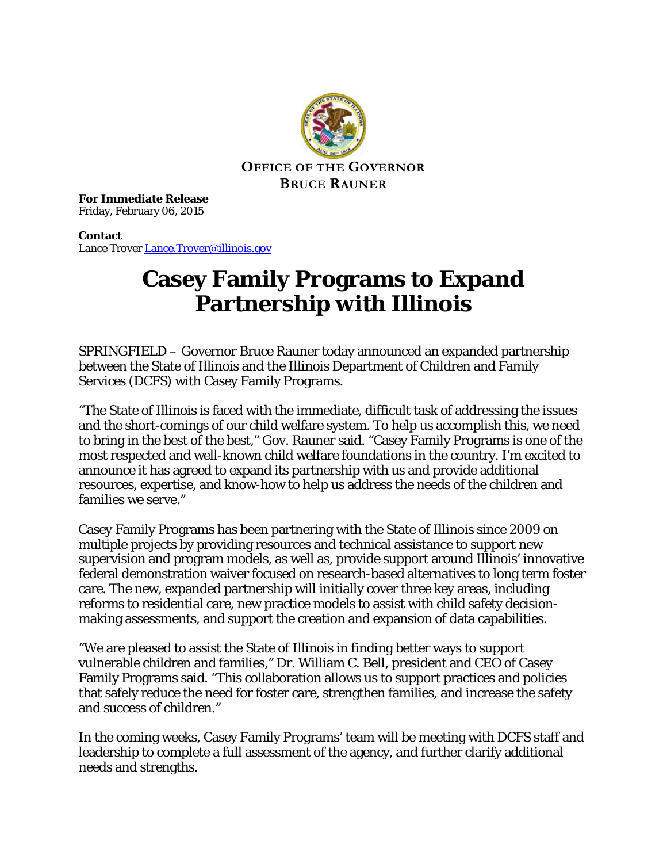

**For Immediate Release** Friday, February 06, 2015

**Contact** Lance Trover [Lance.Trover@illinois.gov](mailto:Lance.Trover@illinois.gov)

## **Casey Family Programs to Expand Partnership with Illinois**

SPRINGFIELD – Governor Bruce Rauner today announced an expanded partnership between the State of Illinois and the Illinois Department of Children and Family Services (DCFS) with Casey Family Programs.

"The State of Illinois is faced with the immediate, difficult task of addressing the issues and the short-comings of our child welfare system. To help us accomplish this, we need to bring in the best of the best," Gov. Rauner said. "Casey Family Programs is one of the most respected and well-known child welfare foundations in the country. I'm excited to announce it has agreed to expand its partnership with us and provide additional resources, expertise, and know-how to help us address the needs of the children and families we serve."

Casey Family Programs has been partnering with the State of Illinois since 2009 on multiple projects by providing resources and technical assistance to support new supervision and program models, as well as, provide support around Illinois' innovative federal demonstration waiver focused on research-based alternatives to long term foster care. The new, expanded partnership will initially cover three key areas, including reforms to residential care, new practice models to assist with child safety decisionmaking assessments, and support the creation and expansion of data capabilities.

"We are pleased to assist the State of Illinois in finding better ways to support vulnerable children and families," Dr. William C. Bell, president and CEO of Casey Family Programs said. "This collaboration allows us to support practices and policies that safely reduce the need for foster care, strengthen families, and increase the safety and success of children."

In the coming weeks, Casey Family Programs' team will be meeting with DCFS staff and leadership to complete a full assessment of the agency, and further clarify additional needs and strengths.